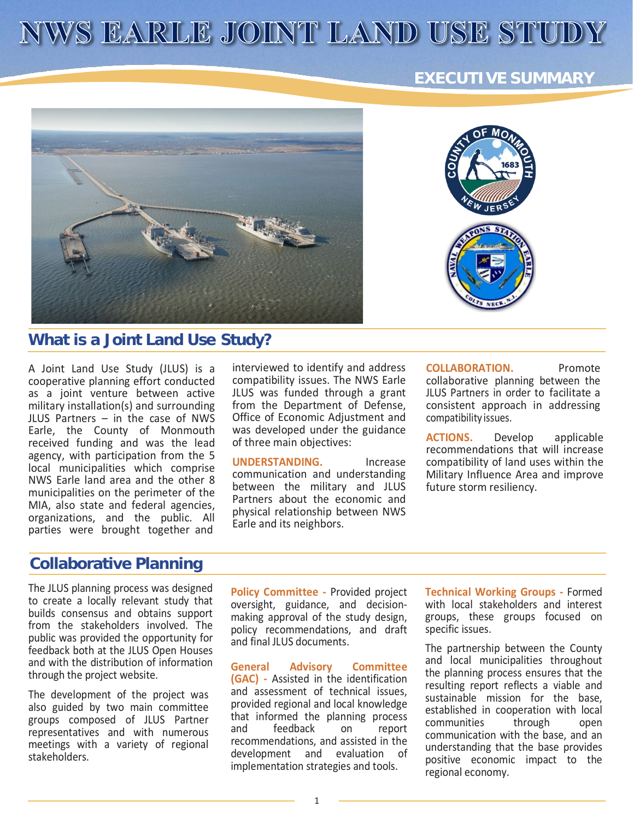# NWS EARLE JOINT LAND USE STUDY

#### **EXECUTIVE SUMMARY**



#### **What is a Joint Land Use Study?**

A Joint Land Use Study (JLUS) is a cooperative planning effort conducted as a joint venture between active military installation(s) and surrounding JLUS Partners – in the case of NWS Earle, the County of Monmouth received funding and was the lead agency, with participation from the 5 local municipalities which comprise NWS Earle land area and the other 8 municipalities on the perimeter of the MIA, also state and federal agencies, organizations, and the public. All parties were brought together and

interviewed to identify and address compatibility issues. The NWS Earle JLUS was funded through a grant from the Department of Defense, Office of Economic Adjustment and was developed under the guidance of three main objectives:

**UNDERSTANDING.** Increase communication and understanding between the military and JLUS Partners about the economic and physical relationship between NWS Earle and its neighbors.

**COLLABORATION.** Promote collaborative planning between the JLUS Partners in order to facilitate a consistent approach in addressing compatibility issues.

**ACTIONS.** Develop applicable recommendations that will increase compatibility of land uses within the Military Influence Area and improve future storm resiliency.

## **Collaborative Planning**

The JLUS planning process was designed to create a locally relevant study that builds consensus and obtains support from the stakeholders involved. The public was provided the opportunity for feedback both at the JLUS Open Houses and with the distribution of information through the project website.

The development of the project was also guided by two main committee groups composed of JLUS Partner representatives and with numerous meetings with a variety of regional stakeholders.

**Policy Committee -** Provided project oversight, guidance, and decisionmaking approval of the study design, policy recommendations, and draft and final JLUS documents.

**General Advisory Committee (GAC) -** Assisted in the identification and assessment of technical issues, provided regional and local knowledge that informed the planning process and feedback on report recommendations, and assisted in the development and evaluation of implementation strategies and tools.

**Technical Working Groups -** Formed with local stakeholders and interest groups, these groups focused on specific issues.

The partnership between the County and local municipalities throughout the planning process ensures that the resulting report reflects a viable and sustainable mission for the base, established in cooperation with local<br>communities through open communities through open communication with the base, and an understanding that the base provides positive economic impact to the regional economy.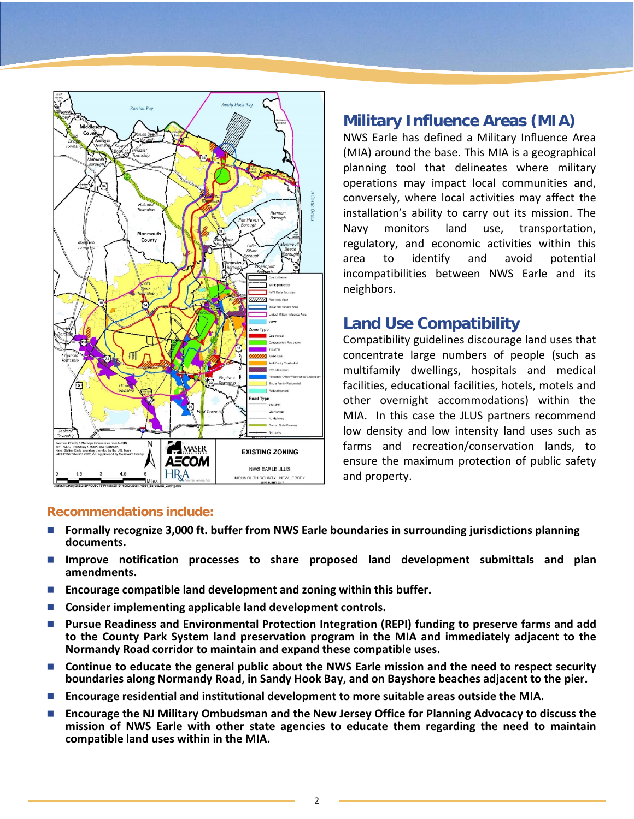

## **Military Influence Areas (MIA)**

NWS Earle has defined a Military Influence Area (MIA) around the base. This MIA is a geographical planning tool that delineates where military operations may impact local communities and, conversely, where local activities may affect the installation's ability to carry out its mission. The Navy monitors land use, transportation, regulatory, and economic activities within this area to identify and avoid potential incompatibilities between NWS Earle and its neighbors.

### **Land Use Compatibility**

Compatibility guidelines discourage land uses that concentrate large numbers of people (such as multifamily dwellings, hospitals and medical facilities, educational facilities, hotels, motels and other overnight accommodations) within the MIA. In this case the JLUS partners recommend low density and low intensity land uses such as farms and recreation/conservation lands, to ensure the maximum protection of public safety and property.

#### **Recommendations include:**

- **Formally recognize 3,000 ft. buffer from NWS Earle boundaries in surrounding jurisdictions planning documents.**
- **Improve notification processes to share proposed land development submittals and plan amendments.**
- **Encourage compatible land development and zoning within this buffer.**
- Consider implementing applicable land development controls.
- **Pursue Readiness and Environmental Protection Integration (REPI) funding to preserve farms and add to the County Park System land preservation program in the MIA and immediately adjacent to the Normandy Road corridor to maintain and expand these compatible uses.**
- Continue to educate the general public about the NWS Earle mission and the need to respect security **boundaries along Normandy Road, in Sandy Hook Bay, and on Bayshore beaches adjacent to the pier.**
- **Encourage residential and institutional development to more suitable areas outside the MIA.**
- **Encourage the NJ Military Ombudsman and the New Jersey Office for Planning Advocacy to discuss the mission of NWS Earle with other state agencies to educate them regarding the need to maintain compatible land uses within in the MIA.**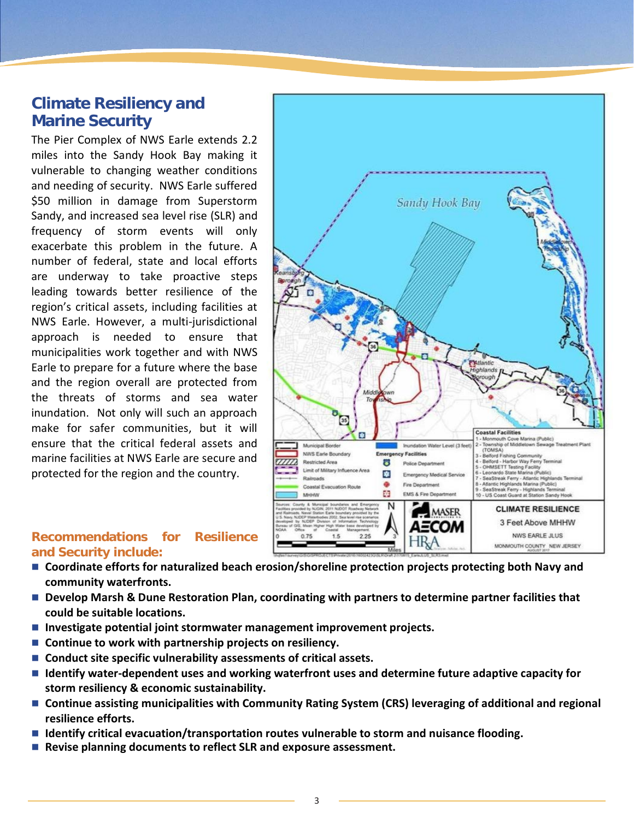## **Climate Resiliency and Marine Security**

The Pier Complex of NWS Earle extends 2.2 miles into the Sandy Hook Bay making it vulnerable to changing weather conditions and needing of security. NWS Earle suffered \$50 million in damage from Superstorm Sandy, and increased sea level rise (SLR) and frequency of storm events will only exacerbate this problem in the future. A number of federal, state and local efforts are underway to take proactive steps leading towards better resilience of the region's critical assets, including facilities at NWS Earle. However, a multi-jurisdictional approach is needed to ensure that municipalities work together and with NWS Earle to prepare for a future where the base and the region overall are protected from the threats of storms and sea water inundation. Not only will such an approach make for safer communities, but it will ensure that the critical federal assets and marine facilities at NWS Earle are secure and protected for the region and the country.



#### **Recommendations for Resilience and Security include:**

- Coordinate efforts for naturalized beach erosion/shoreline protection projects protecting both Navy and **community waterfronts.**
- Develop Marsh & Dune Restoration Plan, coordinating with partners to determine partner facilities that **could be suitable locations.**
- **Investigate potential joint stormwater management improvement projects.**
- Continue to work with partnership projects on resiliency.
- Conduct site specific vulnerability assessments of critical assets.
- Identify water-dependent uses and working waterfront uses and determine future adaptive capacity for **storm resiliency & economic sustainability.**
- Continue assisting municipalities with Community Rating System (CRS) leveraging of additional and regional **resilience efforts.**
- **Identify critical evacuation/transportation routes vulnerable to storm and nuisance flooding.**
- Revise planning documents to reflect SLR and exposure assessment.